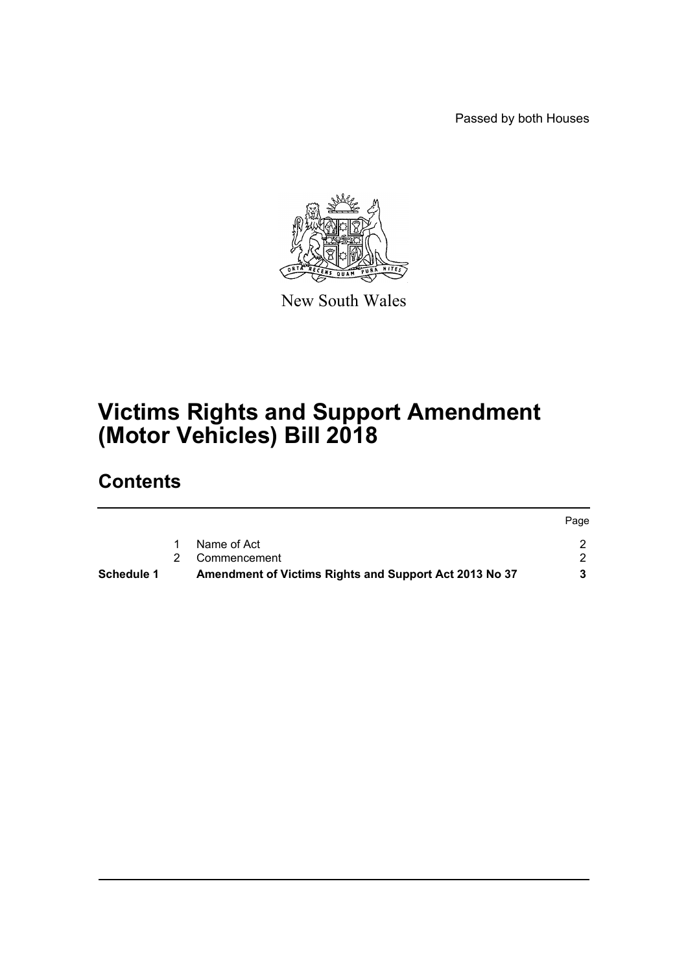Passed by both Houses



New South Wales

# **Victims Rights and Support Amendment (Motor Vehicles) Bill 2018**

## **Contents**

|                   |                                                        | Page |
|-------------------|--------------------------------------------------------|------|
|                   | Name of Act                                            |      |
|                   | Commencement                                           |      |
| <b>Schedule 1</b> | Amendment of Victims Rights and Support Act 2013 No 37 |      |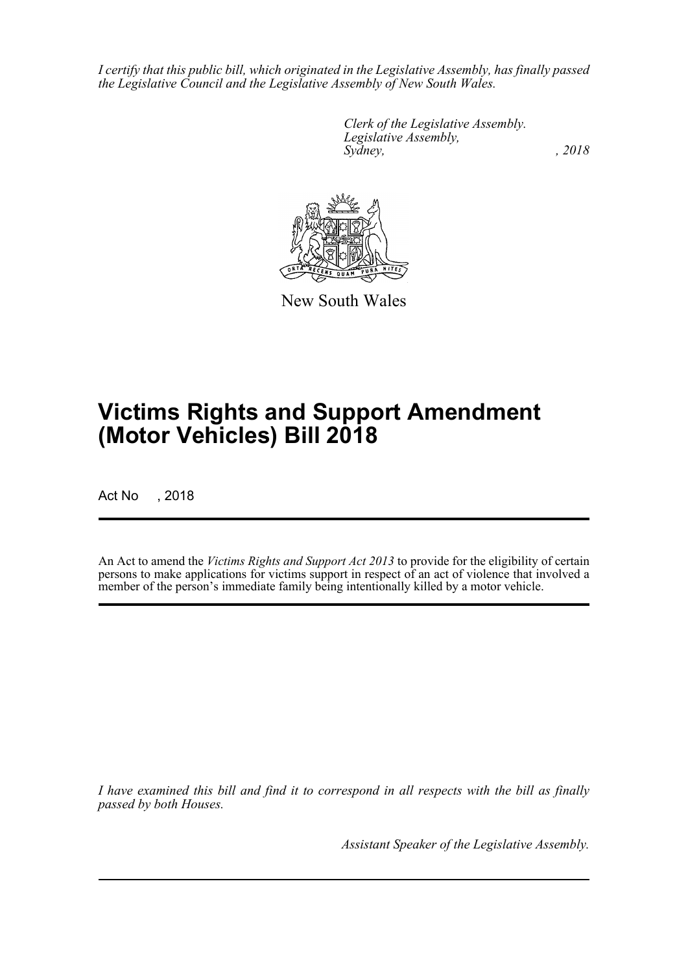*I certify that this public bill, which originated in the Legislative Assembly, has finally passed the Legislative Council and the Legislative Assembly of New South Wales.*

> *Clerk of the Legislative Assembly. Legislative Assembly, Sydney, , 2018*



New South Wales

# **Victims Rights and Support Amendment (Motor Vehicles) Bill 2018**

Act No , 2018

An Act to amend the *Victims Rights and Support Act 2013* to provide for the eligibility of certain persons to make applications for victims support in respect of an act of violence that involved a member of the person's immediate family being intentionally killed by a motor vehicle.

*I have examined this bill and find it to correspond in all respects with the bill as finally passed by both Houses.*

*Assistant Speaker of the Legislative Assembly.*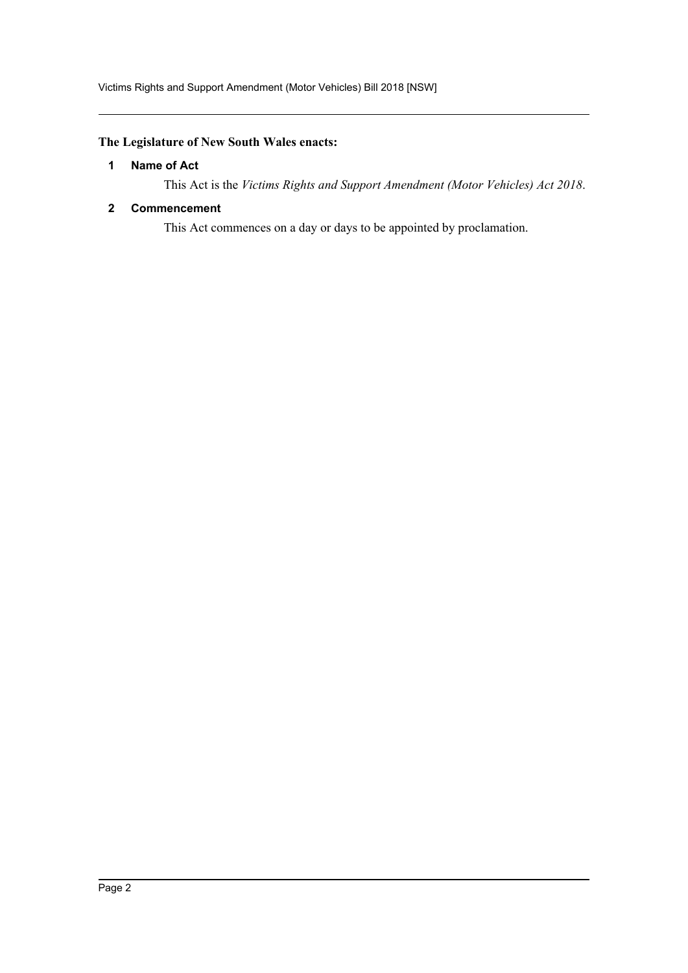## <span id="page-2-0"></span>**The Legislature of New South Wales enacts:**

### **1 Name of Act**

This Act is the *Victims Rights and Support Amendment (Motor Vehicles) Act 2018*.

### <span id="page-2-1"></span>**2 Commencement**

This Act commences on a day or days to be appointed by proclamation.